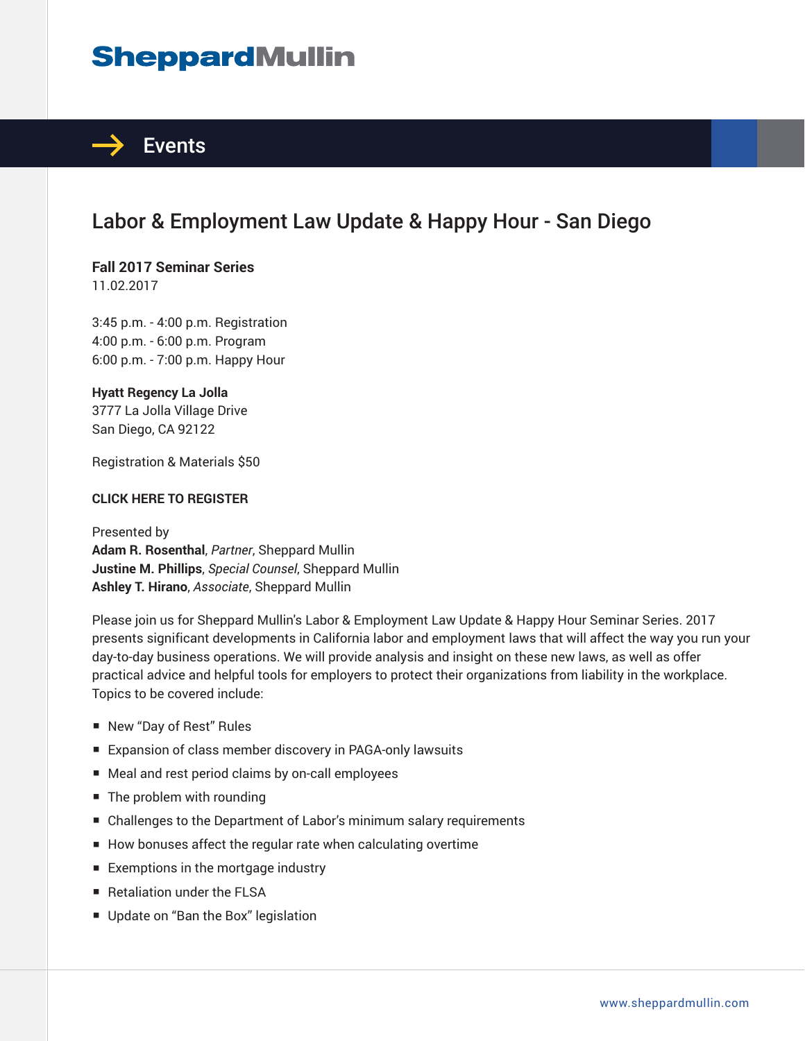# **SheppardMullin**



## Labor & Employment Law Update & Happy Hour - San Diego

## **Fall 2017 Seminar Series**

11.02.2017

3:45 p.m. - 4:00 p.m. Registration 4:00 p.m. - 6:00 p.m. Program 6:00 p.m. - 7:00 p.m. Happy Hour

### **Hyatt Regency La Jolla**

3777 La Jolla Village Drive San Diego, CA 92122

Registration & Materials \$50

#### **CLICK HERE TO REGISTER**

Presented by **Adam R. Rosenthal**, *Partner*, Sheppard Mullin **Justine M. Phillips**, *Special Counsel*, Sheppard Mullin **Ashley T. Hirano**, *Associate*, Sheppard Mullin

Please join us for Sheppard Mullin's Labor & Employment Law Update & Happy Hour Seminar Series. 2017 presents significant developments in California labor and employment laws that will affect the way you run your day-to-day business operations. We will provide analysis and insight on these new laws, as well as offer practical advice and helpful tools for employers to protect their organizations from liability in the workplace. Topics to be covered include:

- New "Day of Rest" Rules
- Expansion of class member discovery in PAGA-only lawsuits
- Meal and rest period claims by on-call employees
- The problem with rounding
- Challenges to the Department of Labor's minimum salary requirements
- How bonuses affect the regular rate when calculating overtime
- Exemptions in the mortgage industry
- Retaliation under the FLSA
- Update on "Ban the Box" legislation